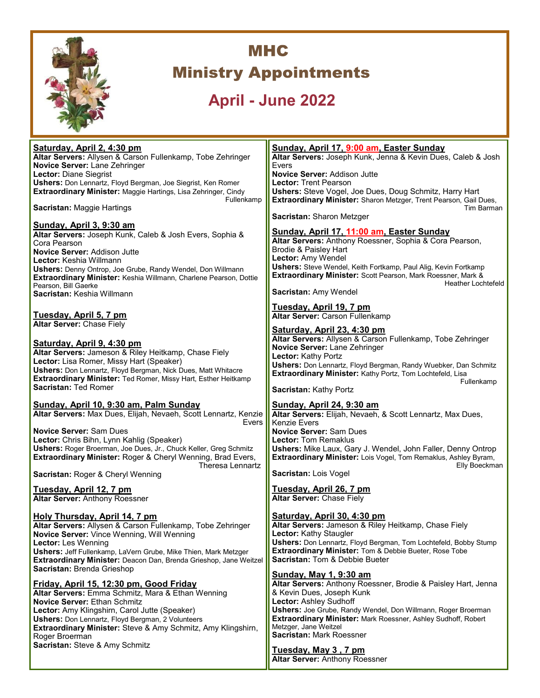

# **MHC Ministry Appointments**

## **April - June 2022**

**Saturday, April 2, 4:30 pm Altar Servers:** Allysen & Carson Fullenkamp, Tobe Zehringer **Novice Server:** Lane Zehringer **Lector:** Diane Siegrist **Ushers:** Don Lennartz, Floyd Bergman, Joe Siegrist, Ken Romer **Extraordinary Minister:** Maggie Hartings, Lisa Zehringer, Cindy Fullenkamp **Sacristan:** Maggie Hartings **Sunday, April 3, 9:30 am Altar Servers:** Joseph Kunk, Caleb & Josh Evers, Sophia & Cora Pearson **Novice Server:** Addison Jutte **Lector:** Keshia Willmann **Ushers:** Denny Ontrop, Joe Grube, Randy Wendel, Don Willmann **Extraordinary Minister:** Keshia Willmann, Charlene Pearson, Dottie Pearson, Bill Gaerke

**Sacristan:** Keshia Willmann

**Tuesday, April 5, 7 pm Altar Server:** Chase Fiely

**Saturday, April 9, 4:30 pm**

**Altar Servers:** Jameson & Riley Heitkamp, Chase Fiely **Lector:** Lisa Romer, Missy Hart (Speaker) **Ushers:** Don Lennartz, Floyd Bergman, Nick Dues, Matt Whitacre **Extraordinary Minister:** Ted Romer, Missy Hart, Esther Heitkamp **Sacristan:** Ted Romer

**Sunday, April 10, 9:30 am, Palm Sunday**

**Altar Servers:** Max Dues, Elijah, Nevaeh, Scott Lennartz, Kenzie Evers and the contract of the contract of the Evers

**Novice Server:** Sam Dues **Lector:** Chris Bihn, Lynn Kahlig (Speaker) **Ushers:** Roger Broerman, Joe Dues, Jr., Chuck Keller, Greg Schmitz **Extraordinary Minister:** Roger & Cheryl Wenning, Brad Evers, Theresa Lennartz

**Sacristan:** Roger & Cheryl Wenning

**Tuesday, April 12, 7 pm Altar Server:** Anthony Roessner

**Holy Thursday, April 14, 7 pm Altar Servers:** Allysen & Carson Fullenkamp, Tobe Zehringer **Novice Server:** Vince Wenning, Will Wenning **Lector:** Les Wenning **Ushers:** Jeff Fullenkamp, LaVern Grube, Mike Thien, Mark Metzger **Extraordinary Minister:** Deacon Dan, Brenda Grieshop, Jane Weitzel **Sacristan:** Brenda Grieshop

**Friday, April 15, 12:30 pm, Good Friday Altar Servers:** Emma Schmitz, Mara & Ethan Wenning **Novice Server:** Ethan Schmitz **Lector:** Amy Klingshirn, Carol Jutte (Speaker) **Ushers:** Don Lennartz, Floyd Bergman, 2 Volunteers **Extraordinary Minister:** Steve & Amy Schmitz, Amy Klingshirn, Roger Broerman **Sacristan:** Steve & Amy Schmitz

#### **Sunday, April 17, 9:00 am, Easter Sunday**

**Altar Servers:** Joseph Kunk, Jenna & Kevin Dues, Caleb & Josh Evers **Novice Server:** Addison Jutte **Lector:** Trent Pearson **Ushers:** Steve Vogel, Joe Dues, Doug Schmitz, Harry Hart **Extraordinary Minister:** Sharon Metzger, Trent Pearson, Gail Dues,

Tim Barman

**Sacristan:** Sharon Metzger

#### **Sunday, April 17, 11:00 am, Easter Sunday**

**Altar Servers:** Anthony Roessner, Sophia & Cora Pearson, Brodie & Paisley Hart **Lector:** Amy Wendel **Ushers:** Steve Wendel, Keith Fortkamp, Paul Alig, Kevin Fortkamp **Extraordinary Minister:** Scott Pearson, Mark Roessner, Mark & Heather Lochtefeld

**Sacristan:** Amy Wendel

**Tuesday, April 19, 7 pm Altar Server:** Carson Fullenkamp

#### **Saturday, April 23, 4:30 pm**

**Altar Servers:** Allysen & Carson Fullenkamp, Tobe Zehringer **Novice Server:** Lane Zehringer **Lector:** Kathy Portz **Ushers:** Don Lennartz, Floyd Bergman, Randy Wuebker, Dan Schmitz **Extraordinary Minister:** Kathy Portz, Tom Lochtefeld, Lisa Fullenkamp

**Sacristan:** Kathy Portz

#### **Sunday, April 24, 9:30 am**

**Altar Servers:** Elijah, Nevaeh, & Scott Lennartz, Max Dues, Kenzie Evers **Novice Server:** Sam Dues **Lector:** Tom Remaklus **Ushers:** Mike Laux, Gary J. Wendel, John Faller, Denny Ontrop **Extraordinary Minister:** Lois Vogel, Tom Remaklus, Ashley Byram, Elly Boeckman

**Sacristan:** Lois Vogel

**Tuesday, April 26, 7 pm Altar Server:** Chase Fiely

#### **Saturday, April 30, 4:30 pm**

**Altar Servers:** Jameson & Riley Heitkamp, Chase Fiely **Lector:** Kathy Staugler **Ushers:** Don Lennartz, Floyd Bergman, Tom Lochtefeld, Bobby Stump **Extraordinary Minister:** Tom & Debbie Bueter, Rose Tobe **Sacristan:** Tom & Debbie Bueter

#### **Sunday, May 1, 9:30 am**

**Altar Servers:** Anthony Roessner, Brodie & Paisley Hart, Jenna & Kevin Dues, Joseph Kunk **Lector:** Ashley Sudhoff **Ushers:** Joe Grube, Randy Wendel, Don Willmann, Roger Broerman **Extraordinary Minister:** Mark Roessner, Ashley Sudhoff, Robert Metzger, Jane Weitzel **Sacristan:** Mark Roessner

**Tuesday, May 3 , 7 pm Altar Server:** Anthony Roessner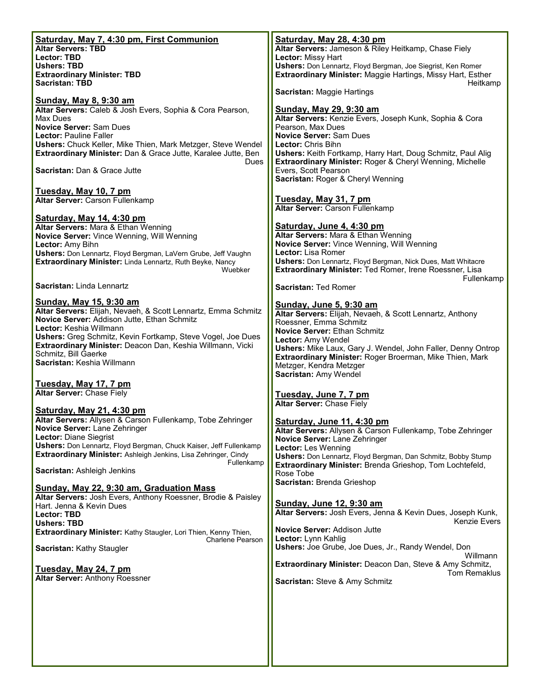| Saturday, May 7, 4:30 pm, First Communion                                                                                   | Saturday, May 28, 4:30 pm                                                                                                |
|-----------------------------------------------------------------------------------------------------------------------------|--------------------------------------------------------------------------------------------------------------------------|
| <b>Altar Servers: TBD</b>                                                                                                   | Altar Servers: Jameson & Riley Heitkamp, Chase Fiely                                                                     |
| <b>Lector: TBD</b><br><b>Ushers: TBD</b>                                                                                    | Lector: Missy Hart<br>Ushers: Don Lennartz, Floyd Bergman, Joe Siegrist, Ken Romer                                       |
| <b>Extraordinary Minister: TBD</b>                                                                                          | Extraordinary Minister: Maggie Hartings, Missy Hart, Esther                                                              |
| <b>Sacristan: TBD</b>                                                                                                       | Heitkamp<br>Sacristan: Maggie Hartings                                                                                   |
| <b>Sunday, May 8, 9:30 am</b><br>Altar Servers: Caleb & Josh Evers, Sophia & Cora Pearson,                                  | <b>Sunday, May 29, 9:30 am</b>                                                                                           |
| Max Dues                                                                                                                    | Altar Servers: Kenzie Evers, Joseph Kunk, Sophia & Cora                                                                  |
| <b>Novice Server: Sam Dues</b>                                                                                              | Pearson, Max Dues                                                                                                        |
| <b>Lector: Pauline Faller</b><br>Ushers: Chuck Keller, Mike Thien, Mark Metzger, Steve Wendel                               | <b>Novice Server: Sam Dues</b><br>Lector: Chris Bihn                                                                     |
| Extraordinary Minister: Dan & Grace Jutte, Karalee Jutte, Ben                                                               | Ushers: Keith Fortkamp, Harry Hart, Doug Schmitz, Paul Alig                                                              |
| Dues                                                                                                                        | Extraordinary Minister: Roger & Cheryl Wenning, Michelle                                                                 |
| Sacristan: Dan & Grace Jutte                                                                                                | Evers, Scott Pearson<br>Sacristan: Roger & Cheryl Wenning                                                                |
| Tuesday, May 10, 7 pm                                                                                                       |                                                                                                                          |
| Altar Server: Carson Fullenkamp                                                                                             | Tuesday, May 31, 7 pm                                                                                                    |
|                                                                                                                             | Altar Server: Carson Fullenkamp                                                                                          |
| <u>Saturday, May 14, 4:30 pm</u><br>Altar Servers: Mara & Ethan Wenning                                                     | Saturday, June 4, 4:30 pm                                                                                                |
| Novice Server: Vince Wenning, Will Wenning                                                                                  | Altar Servers: Mara & Ethan Wenning                                                                                      |
| Lector: Amy Bihn                                                                                                            | Novice Server: Vince Wenning, Will Wenning                                                                               |
| Ushers: Don Lennartz, Floyd Bergman, LaVern Grube, Jeff Vaughn<br>Extraordinary Minister: Linda Lennartz, Ruth Beyke, Nancy | Lector: Lisa Romer<br><b>Ushers:</b> Don Lennartz, Floyd Bergman, Nick Dues, Matt Whitacre                               |
| Wuebker                                                                                                                     | Extraordinary Minister: Ted Romer, Irene Roessner, Lisa                                                                  |
| Sacristan: Linda Lennartz                                                                                                   | Fullenkamp<br>Sacristan: Ted Romer                                                                                       |
|                                                                                                                             |                                                                                                                          |
| Sunday, May 15, 9:30 am<br>Altar Servers: Elijah, Nevaeh, & Scott Lennartz, Emma Schmitz                                    | Sunday, June 5, 9:30 am                                                                                                  |
| Novice Server: Addison Jutte, Ethan Schmitz                                                                                 | Altar Servers: Elijah, Nevaeh, & Scott Lennartz, Anthony                                                                 |
| Lector: Keshia Willmann                                                                                                     | Roessner, Emma Schmitz<br>Novice Server: Ethan Schmitz                                                                   |
| Ushers: Greg Schmitz, Kevin Fortkamp, Steve Vogel, Joe Dues                                                                 | Lector: Amy Wendel                                                                                                       |
| Extraordinary Minister: Deacon Dan, Keshia Willmann, Vicki<br>Schmitz, Bill Gaerke                                          | Ushers: Mike Laux, Gary J. Wendel, John Faller, Denny Ontrop<br>Extraordinary Minister: Roger Broerman, Mike Thien, Mark |
| Sacristan: Keshia Willmann                                                                                                  | Metzger, Kendra Metzger                                                                                                  |
|                                                                                                                             | Sacristan: Amy Wendel                                                                                                    |
| Tuesday, May 17, 7 pm<br>Altar Server: Chase Fiely                                                                          |                                                                                                                          |
|                                                                                                                             | Tuesday, June 7, 7 pm<br>Altar Server: Chase Fiely                                                                       |
| Saturday, May 21, 4:30 pm                                                                                                   |                                                                                                                          |
| Altar Servers: Allysen & Carson Fullenkamp, Tobe Zehringer<br><b>Novice Server: Lane Zehringer</b>                          | Saturday, June 11, 4:30 pm                                                                                               |
| <b>Lector: Diane Siegrist</b>                                                                                               | Altar Servers: Allysen & Carson Fullenkamp, Tobe Zehringer<br>Novice Server: Lane Zehringer                              |
| Ushers: Don Lennartz, Floyd Bergman, Chuck Kaiser, Jeff Fullenkamp                                                          | Lector: Les Wenning                                                                                                      |
| Extraordinary Minister: Ashleigh Jenkins, Lisa Zehringer, Cindy<br>Fullenkamp                                               | Ushers: Don Lennartz, Floyd Bergman, Dan Schmitz, Bobby Stump                                                            |
| Sacristan: Ashleigh Jenkins                                                                                                 | Extraordinary Minister: Brenda Grieshop, Tom Lochtefeld,<br>Rose Tobe                                                    |
| Sunday, May 22, 9:30 am, Graduation Mass                                                                                    | Sacristan: Brenda Grieshop                                                                                               |
| Altar Servers: Josh Evers, Anthony Roessner, Brodie & Paisley                                                               |                                                                                                                          |
| Hart, Jenna & Kevin Dues                                                                                                    | <b>Sunday, June 12, 9:30 am</b><br>Altar Servers: Josh Evers, Jenna & Kevin Dues, Joseph Kunk,                           |
| Lector: TBD<br><b>Ushers: TBD</b>                                                                                           | Kenzie Evers                                                                                                             |
| <b>Extraordinary Minister:</b> Kathy Staugler, Lori Thien, Kenny Thien,                                                     | <b>Novice Server: Addison Jutte</b>                                                                                      |
| Charlene Pearson<br>Sacristan: Kathy Staugler                                                                               | Lector: Lynn Kahlig<br>Ushers: Joe Grube, Joe Dues, Jr., Randy Wendel, Don                                               |
|                                                                                                                             | Willmann                                                                                                                 |
| Tuesday, May 24, 7 pm                                                                                                       | Extraordinary Minister: Deacon Dan, Steve & Amy Schmitz,                                                                 |
| Altar Server: Anthony Roessner                                                                                              | <b>Tom Remaklus</b><br>Sacristan: Steve & Amy Schmitz                                                                    |
|                                                                                                                             |                                                                                                                          |
|                                                                                                                             |                                                                                                                          |
|                                                                                                                             |                                                                                                                          |
|                                                                                                                             |                                                                                                                          |
|                                                                                                                             |                                                                                                                          |
|                                                                                                                             |                                                                                                                          |
|                                                                                                                             |                                                                                                                          |